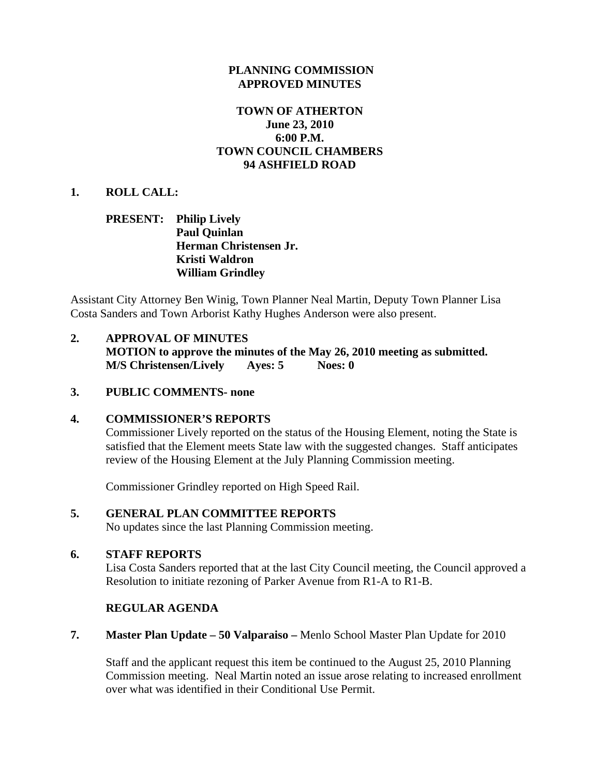### **PLANNING COMMISSION APPROVED MINUTES**

## **TOWN OF ATHERTON June 23, 2010 6:00 P.M. TOWN COUNCIL CHAMBERS 94 ASHFIELD ROAD**

#### **1. ROLL CALL:**

### **PRESENT: Philip Lively Paul Quinlan Herman Christensen Jr. Kristi Waldron William Grindley**

Assistant City Attorney Ben Winig, Town Planner Neal Martin, Deputy Town Planner Lisa Costa Sanders and Town Arborist Kathy Hughes Anderson were also present.

# **2. APPROVAL OF MINUTES MOTION to approve the minutes of the May 26, 2010 meeting as submitted. M/S Christensen/Lively Ayes: 5 Noes: 0**

### **3. PUBLIC COMMENTS- none**

#### **4. COMMISSIONER'S REPORTS**

Commissioner Lively reported on the status of the Housing Element, noting the State is satisfied that the Element meets State law with the suggested changes. Staff anticipates review of the Housing Element at the July Planning Commission meeting.

Commissioner Grindley reported on High Speed Rail.

## **5. GENERAL PLAN COMMITTEE REPORTS**

No updates since the last Planning Commission meeting.

#### **6. STAFF REPORTS**

Lisa Costa Sanders reported that at the last City Council meeting, the Council approved a Resolution to initiate rezoning of Parker Avenue from R1-A to R1-B.

## **REGULAR AGENDA**

**7. Master Plan Update – 50 Valparaiso –** Menlo School Master Plan Update for 2010

 Staff and the applicant request this item be continued to the August 25, 2010 Planning Commission meeting. Neal Martin noted an issue arose relating to increased enrollment over what was identified in their Conditional Use Permit.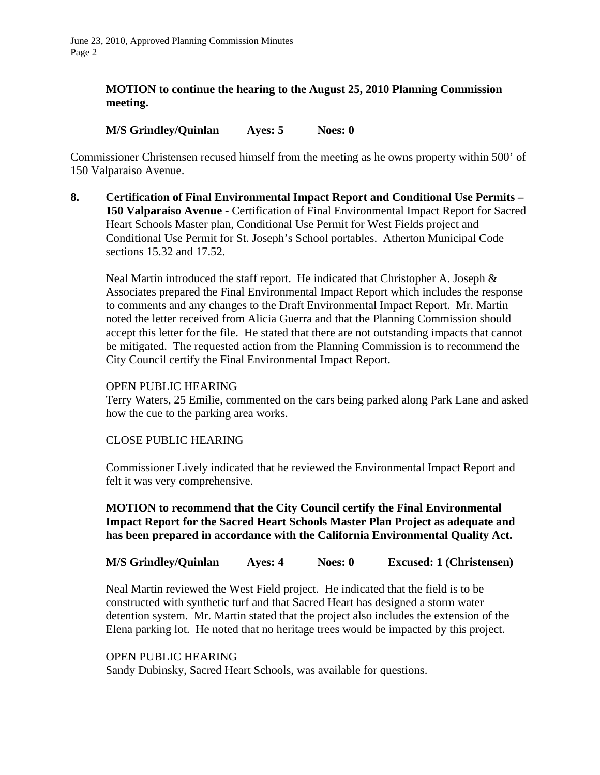## **MOTION to continue the hearing to the August 25, 2010 Planning Commission meeting.**

## **M/S Grindley/Quinlan Ayes: 5 Noes: 0**

Commissioner Christensen recused himself from the meeting as he owns property within 500' of 150 Valparaiso Avenue.

**8. Certification of Final Environmental Impact Report and Conditional Use Permits – 150 Valparaiso Avenue - Certification of Final Environmental Impact Report for Sacred** Heart Schools Master plan, Conditional Use Permit for West Fields project and Conditional Use Permit for St. Joseph's School portables. Atherton Municipal Code sections 15.32 and 17.52.

Neal Martin introduced the staff report. He indicated that Christopher A. Joseph  $\&$ Associates prepared the Final Environmental Impact Report which includes the response to comments and any changes to the Draft Environmental Impact Report. Mr. Martin noted the letter received from Alicia Guerra and that the Planning Commission should accept this letter for the file. He stated that there are not outstanding impacts that cannot be mitigated. The requested action from the Planning Commission is to recommend the City Council certify the Final Environmental Impact Report.

#### OPEN PUBLIC HEARING

Terry Waters, 25 Emilie, commented on the cars being parked along Park Lane and asked how the cue to the parking area works.

#### CLOSE PUBLIC HEARING

Commissioner Lively indicated that he reviewed the Environmental Impact Report and felt it was very comprehensive.

**MOTION to recommend that the City Council certify the Final Environmental Impact Report for the Sacred Heart Schools Master Plan Project as adequate and has been prepared in accordance with the California Environmental Quality Act.** 

#### **M/S Grindley/Quinlan Ayes: 4 Noes: 0 Excused: 1 (Christensen)**

Neal Martin reviewed the West Field project. He indicated that the field is to be constructed with synthetic turf and that Sacred Heart has designed a storm water detention system. Mr. Martin stated that the project also includes the extension of the Elena parking lot. He noted that no heritage trees would be impacted by this project.

#### OPEN PUBLIC HEARING

Sandy Dubinsky, Sacred Heart Schools, was available for questions.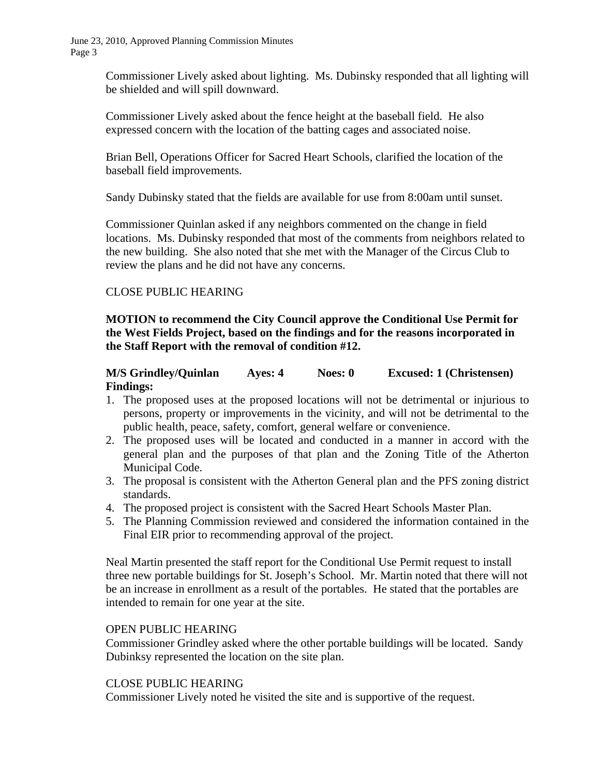> Commissioner Lively asked about lighting. Ms. Dubinsky responded that all lighting will be shielded and will spill downward.

Commissioner Lively asked about the fence height at the baseball field. He also expressed concern with the location of the batting cages and associated noise.

Brian Bell, Operations Officer for Sacred Heart Schools, clarified the location of the baseball field improvements.

Sandy Dubinsky stated that the fields are available for use from 8:00am until sunset.

Commissioner Quinlan asked if any neighbors commented on the change in field locations. Ms. Dubinsky responded that most of the comments from neighbors related to the new building. She also noted that she met with the Manager of the Circus Club to review the plans and he did not have any concerns.

## CLOSE PUBLIC HEARING

**MOTION to recommend the City Council approve the Conditional Use Permit for the West Fields Project, based on the findings and for the reasons incorporated in the Staff Report with the removal of condition #12.** 

## **M/S Grindley/Quinlan Ayes: 4 Noes: 0 Excused: 1 (Christensen) Findings:**

- 1. The proposed uses at the proposed locations will not be detrimental or injurious to persons, property or improvements in the vicinity, and will not be detrimental to the public health, peace, safety, comfort, general welfare or convenience.
- 2. The proposed uses will be located and conducted in a manner in accord with the general plan and the purposes of that plan and the Zoning Title of the Atherton Municipal Code.
- 3. The proposal is consistent with the Atherton General plan and the PFS zoning district standards.
- 4. The proposed project is consistent with the Sacred Heart Schools Master Plan.
- 5. The Planning Commission reviewed and considered the information contained in the Final EIR prior to recommending approval of the project.

Neal Martin presented the staff report for the Conditional Use Permit request to install three new portable buildings for St. Joseph's School. Mr. Martin noted that there will not be an increase in enrollment as a result of the portables. He stated that the portables are intended to remain for one year at the site.

#### OPEN PUBLIC HEARING

Commissioner Grindley asked where the other portable buildings will be located. Sandy Dubinksy represented the location on the site plan.

#### CLOSE PUBLIC HEARING

Commissioner Lively noted he visited the site and is supportive of the request.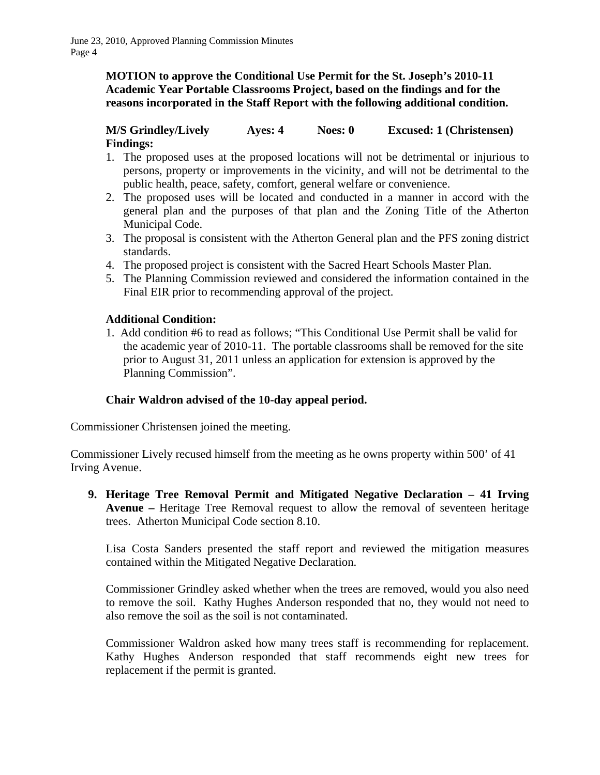**MOTION to approve the Conditional Use Permit for the St. Joseph's 2010-11 Academic Year Portable Classrooms Project, based on the findings and for the reasons incorporated in the Staff Report with the following additional condition.** 

# **M/S Grindley/Lively Ayes: 4 Noes: 0 Excused: 1 (Christensen) Findings:**

- 1. The proposed uses at the proposed locations will not be detrimental or injurious to persons, property or improvements in the vicinity, and will not be detrimental to the public health, peace, safety, comfort, general welfare or convenience.
- 2. The proposed uses will be located and conducted in a manner in accord with the general plan and the purposes of that plan and the Zoning Title of the Atherton Municipal Code.
- 3. The proposal is consistent with the Atherton General plan and the PFS zoning district standards.
- 4. The proposed project is consistent with the Sacred Heart Schools Master Plan.
- 5. The Planning Commission reviewed and considered the information contained in the Final EIR prior to recommending approval of the project.

# **Additional Condition:**

1. Add condition #6 to read as follows; "This Conditional Use Permit shall be valid for the academic year of 2010-11. The portable classrooms shall be removed for the site prior to August 31, 2011 unless an application for extension is approved by the Planning Commission".

## **Chair Waldron advised of the 10-day appeal period.**

Commissioner Christensen joined the meeting.

Commissioner Lively recused himself from the meeting as he owns property within 500' of 41 Irving Avenue.

**9. Heritage Tree Removal Permit and Mitigated Negative Declaration – 41 Irving Avenue –** Heritage Tree Removal request to allow the removal of seventeen heritage trees. Atherton Municipal Code section 8.10.

Lisa Costa Sanders presented the staff report and reviewed the mitigation measures contained within the Mitigated Negative Declaration.

Commissioner Grindley asked whether when the trees are removed, would you also need to remove the soil. Kathy Hughes Anderson responded that no, they would not need to also remove the soil as the soil is not contaminated.

Commissioner Waldron asked how many trees staff is recommending for replacement. Kathy Hughes Anderson responded that staff recommends eight new trees for replacement if the permit is granted.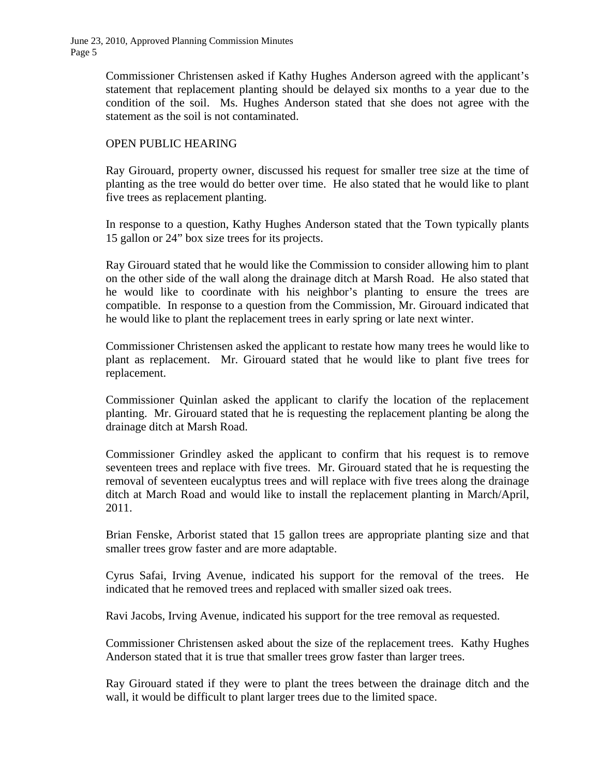> Commissioner Christensen asked if Kathy Hughes Anderson agreed with the applicant's statement that replacement planting should be delayed six months to a year due to the condition of the soil. Ms. Hughes Anderson stated that she does not agree with the statement as the soil is not contaminated.

### OPEN PUBLIC HEARING

Ray Girouard, property owner, discussed his request for smaller tree size at the time of planting as the tree would do better over time. He also stated that he would like to plant five trees as replacement planting.

In response to a question, Kathy Hughes Anderson stated that the Town typically plants 15 gallon or 24" box size trees for its projects.

Ray Girouard stated that he would like the Commission to consider allowing him to plant on the other side of the wall along the drainage ditch at Marsh Road. He also stated that he would like to coordinate with his neighbor's planting to ensure the trees are compatible. In response to a question from the Commission, Mr. Girouard indicated that he would like to plant the replacement trees in early spring or late next winter.

Commissioner Christensen asked the applicant to restate how many trees he would like to plant as replacement. Mr. Girouard stated that he would like to plant five trees for replacement.

Commissioner Quinlan asked the applicant to clarify the location of the replacement planting. Mr. Girouard stated that he is requesting the replacement planting be along the drainage ditch at Marsh Road.

Commissioner Grindley asked the applicant to confirm that his request is to remove seventeen trees and replace with five trees. Mr. Girouard stated that he is requesting the removal of seventeen eucalyptus trees and will replace with five trees along the drainage ditch at March Road and would like to install the replacement planting in March/April, 2011.

Brian Fenske, Arborist stated that 15 gallon trees are appropriate planting size and that smaller trees grow faster and are more adaptable.

Cyrus Safai, Irving Avenue, indicated his support for the removal of the trees. He indicated that he removed trees and replaced with smaller sized oak trees.

Ravi Jacobs, Irving Avenue, indicated his support for the tree removal as requested.

Commissioner Christensen asked about the size of the replacement trees. Kathy Hughes Anderson stated that it is true that smaller trees grow faster than larger trees.

Ray Girouard stated if they were to plant the trees between the drainage ditch and the wall, it would be difficult to plant larger trees due to the limited space.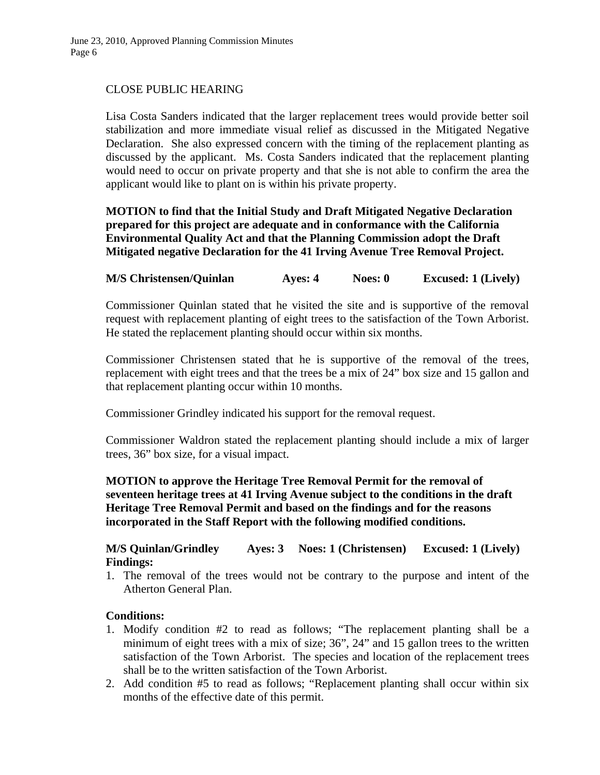## CLOSE PUBLIC HEARING

Lisa Costa Sanders indicated that the larger replacement trees would provide better soil stabilization and more immediate visual relief as discussed in the Mitigated Negative Declaration. She also expressed concern with the timing of the replacement planting as discussed by the applicant. Ms. Costa Sanders indicated that the replacement planting would need to occur on private property and that she is not able to confirm the area the applicant would like to plant on is within his private property.

**MOTION to find that the Initial Study and Draft Mitigated Negative Declaration prepared for this project are adequate and in conformance with the California Environmental Quality Act and that the Planning Commission adopt the Draft Mitigated negative Declaration for the 41 Irving Avenue Tree Removal Project.** 

## **M/S Christensen/Quinlan Ayes: 4 Noes: 0 Excused: 1 (Lively)**

Commissioner Quinlan stated that he visited the site and is supportive of the removal request with replacement planting of eight trees to the satisfaction of the Town Arborist. He stated the replacement planting should occur within six months.

Commissioner Christensen stated that he is supportive of the removal of the trees, replacement with eight trees and that the trees be a mix of 24" box size and 15 gallon and that replacement planting occur within 10 months.

Commissioner Grindley indicated his support for the removal request.

Commissioner Waldron stated the replacement planting should include a mix of larger trees, 36" box size, for a visual impact.

**MOTION to approve the Heritage Tree Removal Permit for the removal of seventeen heritage trees at 41 Irving Avenue subject to the conditions in the draft Heritage Tree Removal Permit and based on the findings and for the reasons incorporated in the Staff Report with the following modified conditions.** 

#### **M/S Quinlan/Grindley Ayes: 3 Noes: 1 (Christensen) Excused: 1 (Lively) Findings:**

1. The removal of the trees would not be contrary to the purpose and intent of the Atherton General Plan.

#### **Conditions:**

- 1. Modify condition #2 to read as follows; "The replacement planting shall be a minimum of eight trees with a mix of size; 36", 24" and 15 gallon trees to the written satisfaction of the Town Arborist. The species and location of the replacement trees shall be to the written satisfaction of the Town Arborist.
- 2. Add condition #5 to read as follows; "Replacement planting shall occur within six months of the effective date of this permit.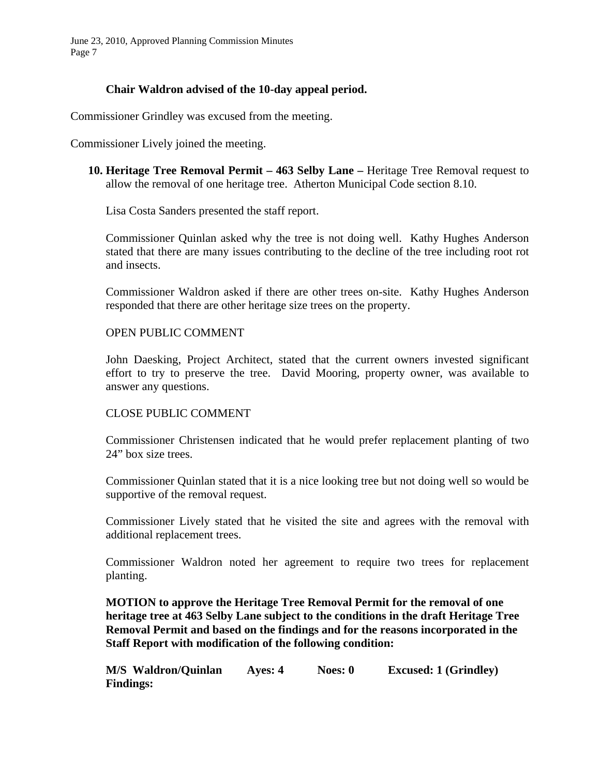## **Chair Waldron advised of the 10-day appeal period.**

Commissioner Grindley was excused from the meeting.

Commissioner Lively joined the meeting.

**10. Heritage Tree Removal Permit – 463 Selby Lane –** Heritage Tree Removal request to allow the removal of one heritage tree. Atherton Municipal Code section 8.10.

Lisa Costa Sanders presented the staff report.

Commissioner Quinlan asked why the tree is not doing well. Kathy Hughes Anderson stated that there are many issues contributing to the decline of the tree including root rot and insects.

Commissioner Waldron asked if there are other trees on-site. Kathy Hughes Anderson responded that there are other heritage size trees on the property.

#### OPEN PUBLIC COMMENT

John Daesking, Project Architect, stated that the current owners invested significant effort to try to preserve the tree. David Mooring, property owner, was available to answer any questions.

#### CLOSE PUBLIC COMMENT

Commissioner Christensen indicated that he would prefer replacement planting of two 24" box size trees.

Commissioner Quinlan stated that it is a nice looking tree but not doing well so would be supportive of the removal request.

Commissioner Lively stated that he visited the site and agrees with the removal with additional replacement trees.

Commissioner Waldron noted her agreement to require two trees for replacement planting.

**MOTION to approve the Heritage Tree Removal Permit for the removal of one heritage tree at 463 Selby Lane subject to the conditions in the draft Heritage Tree Removal Permit and based on the findings and for the reasons incorporated in the Staff Report with modification of the following condition:** 

| M/S Waldron/Quinlan | Ayes: 4 | Noes: 0 | <b>Excused: 1 (Grindley)</b> |
|---------------------|---------|---------|------------------------------|
| <b>Findings:</b>    |         |         |                              |